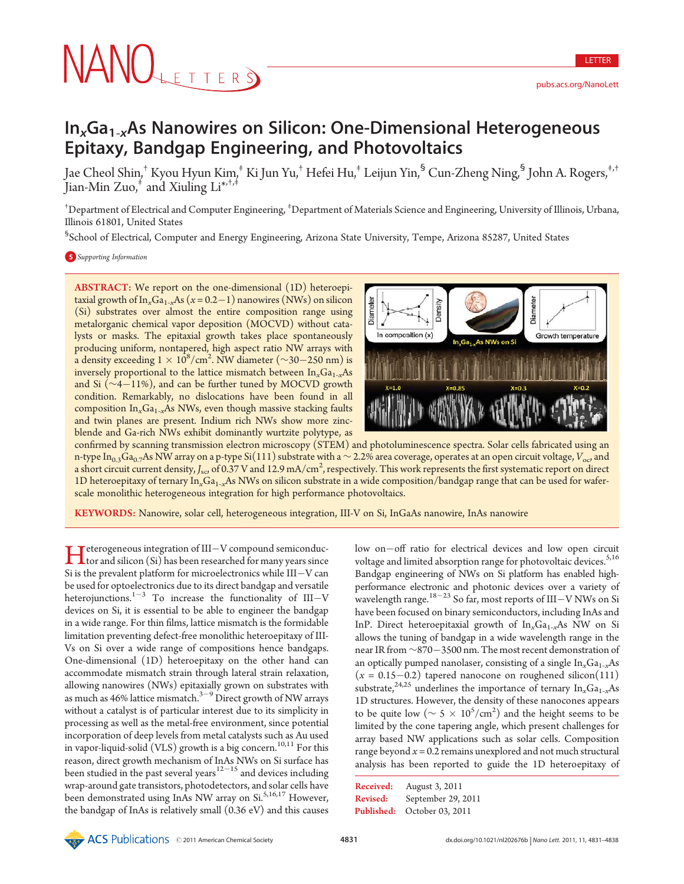# NANOLETTERS

LETTER

# In<sub>x</sub>Ga<sub>1-x</sub>As Nanowires on Silicon: One-Dimensional Heterogeneous Epitaxy, Bandgap Engineering, and Photovoltaics

Jae Cheol Shin,† Kyou Hyun Kim,‡ Ki Jun Yu,† Hefei Hu,‡ Leijun Yin,§ Cun-Zheng Ning,§ John A. Rogers,‡,† Jian-Min  $Zuo$ ,<sup>†</sup> and Xiuling Li<sup>\*,†,‡</sup>

<sup>†</sup>Department of Electrical and Computer Engineering, <sup>‡</sup>Department of Materials Science and Engineering, University of Illinois, Urbana, Illinois 61801, United States

§ School of Electrical, Computer and Energy Engineering, Arizona State University, Tempe, Arizona 85287, United States

## **S** Supporting Information

ABSTRACT: We report on the one-dimensional (1D) heteroepitaxial growth of In<sub>x</sub>Ga<sub>1-x</sub>As ( $x = 0.2-1$ ) nanowires (NWs) on silicon (Si) substrates over almost the entire composition range using metalorganic chemical vapor deposition (MOCVD) without catalysts or masks. The epitaxial growth takes place spontaneously producing uniform, nontapered, high aspect ratio NW arrays with a density exceeding  $1 \times 10^8/\text{cm}^2$ . NW diameter (∼30–250 nm) is inversely proportional to the lattice mismatch between  $\text{In}_{x}Ga_{1-x}As$ and Si (∼4-11%), and can be further tuned by MOCVD growth condition. Remarkably, no dislocations have been found in all composition  $In_xGa_{1-x}As$  NWs, even though massive stacking faults and twin planes are present. Indium rich NWs show more zincblende and Ga-rich NWs exhibit dominantly wurtzite polytype, as



confirmed by scanning transmission electron microscopy (STEM) and photoluminescence spectra. Solar cells fabricated using an n-type In<sub>0.3</sub>Ga<sub>0.7</sub>As NW array on a p-type Si(111) substrate with a ~2.2% area coverage, operates at an open circuit voltage, V<sub>oc</sub>, and a short circuit current density,  $J_{\rm sc}$  of 0.37 V and 12.9 mA/cm<sup>2</sup>, respectively. This work represents the first systematic report on direct 1D heteroepitaxy of ternary  $In_xGa_{1-x}As$  NWs on silicon substrate in a wide composition/bandgap range that can be used for waferscale monolithic heterogeneous integration for high performance photovoltaics.

KEYWORDS: Nanowire, solar cell, heterogeneous integration, III-V on Si, InGaAs nanowire, InAs nanowire

I deterogeneous integration of III-V compound semiconductor and silicon (Si) has been researched for many years since<br>Si is the numerical throw for mineral structure shills III. Y can  $\blacktriangleright$  eterogeneous integration of III-V compound semiconduc-Si is the prevalent platform for microelectronics while III-V can be used for optoelectronics due to its direct bandgap and versatile heterojunctions. $1-3$  To increase the functionality of III-V devices on Si, it is essential to be able to engineer the bandgap in a wide range. For thin films, lattice mismatch is the formidable limitation preventing defect-free monolithic heteroepitaxy of III-Vs on Si over a wide range of compositions hence bandgaps. One-dimensional (1D) heteroepitaxy on the other hand can accommodate mismatch strain through lateral strain relaxation, allowing nanowires (NWs) epitaxially grown on substrates with as much as 46% lattice mismatch.<sup>3–9</sup> Direct growth of NW arrays without a catalyst is of particular interest due to its simplicity in processing as well as the metal-free environment, since potential incorporation of deep levels from metal catalysts such as Au used in vapor-liquid-solid (VLS) growth is a big concern.<sup>10,11</sup> For this reason, direct growth mechanism of InAs NWs on Si surface has been studied in the past several years  $12-15$  and devices including wrap-around gate transistors, photodetectors, and solar cells have been demonstrated using InAs NW array on Si.<sup>5,16,17</sup> However, the bandgap of InAs is relatively small (0.36 eV) and this causes

low on-off ratio for electrical devices and low open circuit voltage and limited absorption range for photovoltaic devices.<sup>5,16</sup> Bandgap engineering of NWs on Si platform has enabled highperformance electronic and photonic devices over a variety of wavelength range.  $^{18-23}$  So far, most reports of III–V NWs on Si have been focused on binary semiconductors, including InAs and InP. Direct heteroepitaxial growth of  $In_xGa_{1-x}As$  NW on Si allows the tuning of bandgap in a wide wavelength range in the near IR from ∼870-3500 nm. The most recent demonstration of an optically pumped nanolaser, consisting of a single  $In<sub>x</sub>Ga<sub>1-x</sub>As$  $(x = 0.15-0.2)$  tapered nanocone on roughened silicon(111) substrate,<sup>24,25</sup> underlines the importance of ternary  $In_xGa_{1-x}As$ 1D structures. However, the density of these nanocones appears to be quite low ( $\sim 5 \times 10^5/\text{cm}^2$ ) and the height seems to be limited by the cone tapering angle, which present challenges for array based NW applications such as solar cells. Composition range beyond  $x = 0.2$  remains unexplored and not much structural analysis has been reported to guide the 1D heteroepitaxy of

| Received: | August 3, 2011              |
|-----------|-----------------------------|
| Revised:  | September 29, 2011          |
|           | Published: October 03, 2011 |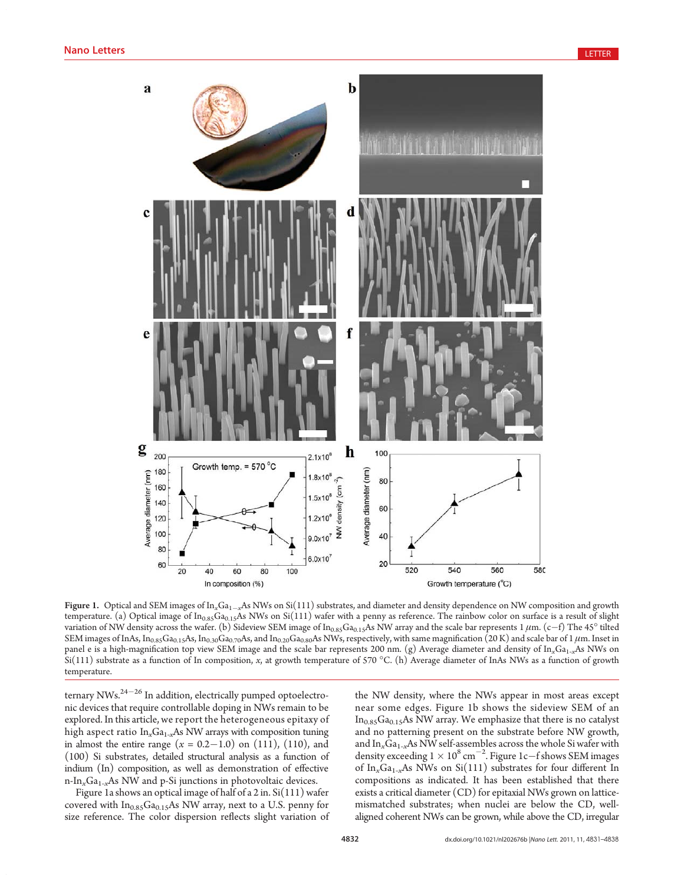

Figure 1. Optical and SEM images of  $\ln_xGa_{1-x}As$  NWs on Si(111) substrates, and diameter and density dependence on NW composition and growth temperature. (a) Optical image of  $In<sub>0.85</sub>Ga<sub>0.15</sub>As NWs$  on Si(111) wafer with a penny as reference. The rainbow color on surface is a result of slight variation of NW density across the wafer. (b) Sideview SEM image of  $\ln_{0.85}Ga_{0.15}As$  NW array and the scale bar represents  $1 \mu m$ . (c–f) The 45° tilted SEM images of InAs, In<sub>0.85</sub>Ga<sub>0.15</sub>As, In<sub>0.30</sub>Ga<sub>0.70</sub>As, and In<sub>0.20</sub>Ga<sub>0.80</sub>As NWs, respectively, with same magnification (20 K) and scale bar of 1  $\mu$ m. Inset in panel e is a high-magnification top view SEM image and the scale bar represents 200 nm. (g) Average diameter and density of  $In_xGa_{1-x}As$  NWs on  $Si(111)$  substrate as a function of In composition, x, at growth temperature of 570 °C. (h) Average diameter of InAs NWs as a function of growth temperature.

ternary NWs. $^{24-26}$  In addition, electrically pumped optoelectronic devices that require controllable doping in NWs remain to be explored. In this article, we report the heterogeneous epitaxy of high aspect ratio  $In_xGa_{1-x}As$  NW arrays with composition tuning in almost the entire range  $(x = 0.2 - 1.0)$  on  $(111)$ ,  $(110)$ , and (100) Si substrates, detailed structural analysis as a function of indium (In) composition, as well as demonstration of effective n-In<sub>x</sub>Ga<sub>1-x</sub>As NW and p-Si junctions in photovoltaic devices.

Figure 1a shows an optical image of half of a 2 in. Si(111) wafer covered with  $In<sub>0.85</sub>Ga<sub>0.15</sub>As NW array, next to a U.S. penny for$ size reference. The color dispersion reflects slight variation of the NW density, where the NWs appear in most areas except near some edges. Figure 1b shows the sideview SEM of an  $In<sub>0.85</sub>Ga<sub>0.15</sub>As NW array. We emphasize that there is no catalyst$ and no patterning present on the substrate before NW growth, and  $\text{In}_x\text{Ga}_{1-x}\text{As NW}$  self-assembles across the whole Si wafer with density exceeding  $1 \times 10^8$  cm<sup>-2</sup>. Figure 1c-f shows SEM images of In<sub>x</sub>Ga<sub>1-x</sub>As NWs on Si(111) substrates for four different In compositions as indicated. It has been established that there exists a critical diameter (CD) for epitaxial NWs grown on latticemismatched substrates; when nuclei are below the CD, wellaligned coherent NWs can be grown, while above the CD, irregular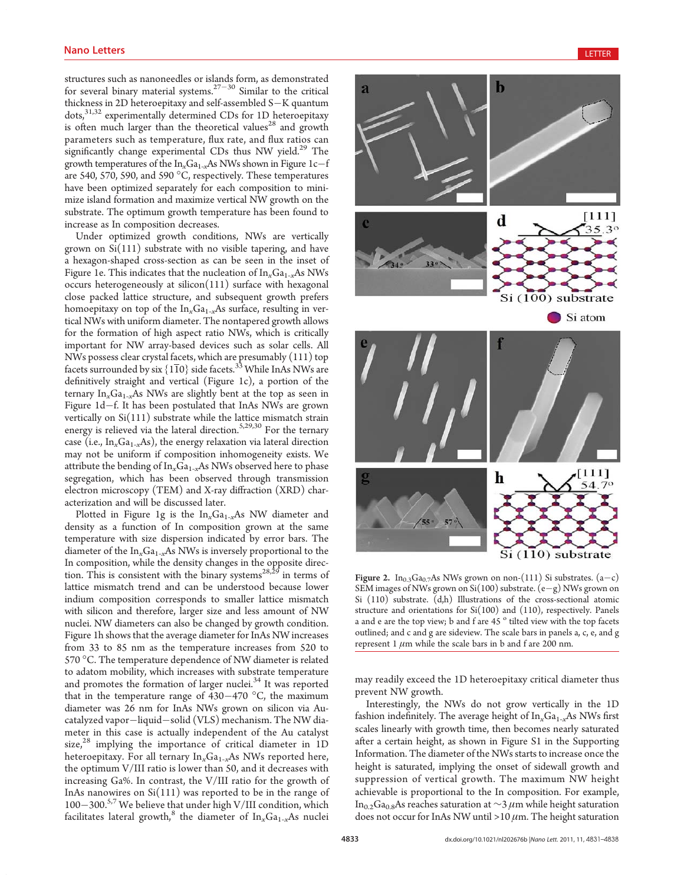structures such as nanoneedles or islands form, as demonstrated for several binary material systems. $27-30$  Similar to the critical thickness in 2D heteroepitaxy and self-assembled S-K quantum dots,<sup>31,32</sup> experimentally determined CDs for 1D heteroepitaxy is often much larger than the theoretical values<sup>28</sup> and growth parameters such as temperature, flux rate, and flux ratios can significantly change experimental CDs thus NW yield.<sup>29</sup> The growth temperatures of the  $\ln_{x}Ga_{1-x}As$  NWs shown in Figure 1c–f are 540, 570, 590, and 590  $^{\circ}$ C, respectively. These temperatures have been optimized separately for each composition to minimize island formation and maximize vertical NW growth on the substrate. The optimum growth temperature has been found to increase as In composition decreases.

Under optimized growth conditions, NWs are vertically grown on  $Si(111)$  substrate with no visible tapering, and have a hexagon-shaped cross-section as can be seen in the inset of Figure 1e. This indicates that the nucleation of  $\ln_{x}Ga_{1-x}As$  NWs occurs heterogeneously at silicon(111) surface with hexagonal close packed lattice structure, and subsequent growth prefers homoepitaxy on top of the  $\text{In}_{x}\text{Ga}_{1-x}\text{As}$  surface, resulting in vertical NWs with uniform diameter. The nontapered growth allows for the formation of high aspect ratio NWs, which is critically important for NW array-based devices such as solar cells. All NWs possess clear crystal facets, which are presumably (111) top facets surrounded by six  $\{1\overline{1}0\}$  side facets.<sup>33</sup> While InAs NWs are definitively straight and vertical (Figure 1c), a portion of the ternary  $In_xGa_{1-x}As$  NWs are slightly bent at the top as seen in Figure 1d-f. It has been postulated that InAs NWs are grown vertically on Si(111) substrate while the lattice mismatch strain energy is relieved via the lateral direction.<sup>5,29,30</sup> For the ternary case (i.e.,  $In_xGa_{1-x}As$ ), the energy relaxation via lateral direction may not be uniform if composition inhomogeneity exists. We attribute the bending of  $In_xGa_{1-x}As$  NWs observed here to phase segregation, which has been observed through transmission electron microscopy (TEM) and X-ray diffraction (XRD) characterization and will be discussed later.

Plotted in Figure 1g is the  $In_xGa_{1-x}As$  NW diameter and density as a function of In composition grown at the same temperature with size dispersion indicated by error bars. The diameter of the  $In_xGa_{1-x}As$  NWs is inversely proportional to the In composition, while the density changes in the opposite direction. This is consistent with the binary systems<sup>28,25</sup> in terms of lattice mismatch trend and can be understood because lower indium composition corresponds to smaller lattice mismatch with silicon and therefore, larger size and less amount of NW nuclei. NW diameters can also be changed by growth condition. Figure 1h shows that the average diameter for InAs NW increases from 33 to 85 nm as the temperature increases from 520 to 570 °C. The temperature dependence of NW diameter is related to adatom mobility, which increases with substrate temperature and promotes the formation of larger nuclei.<sup>34</sup> It was reported that in the temperature range of  $430-470$  °C, the maximum diameter was 26 nm for InAs NWs grown on silicon via Aucatalyzed vapor-liquid-solid (VLS) mechanism. The NW diameter in this case is actually independent of the Au catalyst size, $28$  implying the importance of critical diameter in 1D heteroepitaxy. For all ternary  $In<sub>x</sub>Ga<sub>1-x</sub>As$  NWs reported here, the optimum V/III ratio is lower than 50, and it decreases with increasing Ga%. In contrast, the V/III ratio for the growth of InAs nanowires on Si(111) was reported to be in the range of 100–300.<sup>5,7</sup> We believe that under high V/III condition, which facilitates lateral growth,<sup>8</sup> the diameter of  $In_xGa_{1-x}As$  nuclei



Figure 2.  $In<sub>0.3</sub>Ga<sub>0.7</sub>As NWs grown on non-(111) Si substrates. (a-c)$ SEM images of NWs grown on Si(100) substrate.  $(e-g)$  NWs grown on Si (110) substrate. (d,h) Illustrations of the cross-sectional atomic structure and orientations for Si(100) and (110), respectively. Panels a and e are the top view; b and f are 45  $^{\circ}$  tilted view with the top facets outlined; and c and g are sideview. The scale bars in panels a, c, e, and g represent 1  $\mu$ m while the scale bars in b and f are 200 nm.

may readily exceed the 1D heteroepitaxy critical diameter thus prevent NW growth.

Interestingly, the NWs do not grow vertically in the 1D fashion indefinitely. The average height of  $In_xGa_{1-x}As$  NWs first scales linearly with growth time, then becomes nearly saturated after a certain height, as shown in Figure S1 in the Supporting Information. The diameter of the NWs starts to increase once the height is saturated, implying the onset of sidewall growth and suppression of vertical growth. The maximum NW height achievable is proportional to the In composition. For example, In<sub>0.2</sub>Ga<sub>0.8</sub>As reaches saturation at ∼3  $\mu$ m while height saturation does not occur for InAs NW until >10  $\mu$ m. The height saturation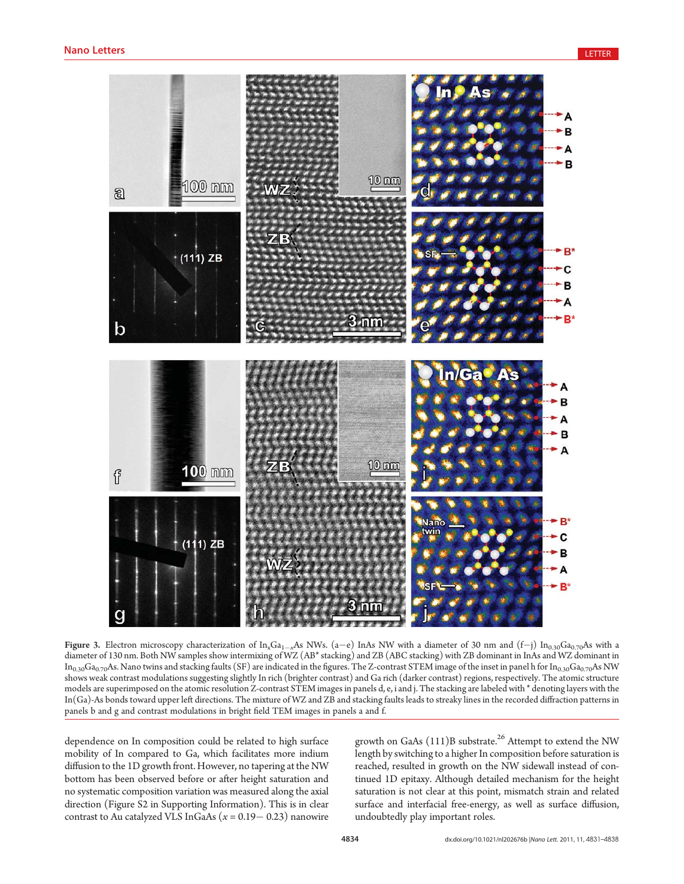

Figure 3. Electron microscopy characterization of  $\text{In}_x\text{Ga}_{1-x}\text{As}$  NWs. (a-e) InAs NW with a diameter of 30 nm and (f-j)  $\text{In}_{0.30}\text{Ga}_{0.70}\text{As}$  with a diameter of 130 nm. Both NW samples show intermixing of WZ (AB\* stacking) and ZB (ABC stacking) with ZB dominant in InAs and WZ dominant in  $In_{0.30}Ga_{0.70}As$ . Nano twins and stacking faults (SF) are indicated in the figures. The Z-contrast STEM image of the inset in panel h for  $In_{0.30}Ga_{0.70}As$  NW shows weak contrast modulations suggesting slightly In rich (brighter contrast) and Ga rich (darker contrast) regions, respectively. The atomic structure models are superimposed on the atomic resolution Z-contrast STEM images in panels d, e, i and j. The stacking are labeled with \* denoting layers with the In(Ga)-As bonds toward upper left directions. The mixture of WZ and ZB and stacking faults leads to streaky lines in the recorded diffraction patterns in panels b and g and contrast modulations in bright field TEM images in panels a and f.

dependence on In composition could be related to high surface mobility of In compared to Ga, which facilitates more indium diffusion to the 1D growth front. However, no tapering at the NW bottom has been observed before or after height saturation and no systematic composition variation was measured along the axial direction (Figure S2 in Supporting Information). This is in clear contrast to Au catalyzed VLS InGaAs  $(x = 0.19 - 0.23)$  nanowire

growth on GaAs  $(111)B$  substrate.<sup>26</sup> Attempt to extend the NW length by switching to a higher In composition before saturation is reached, resulted in growth on the NW sidewall instead of continued 1D epitaxy. Although detailed mechanism for the height saturation is not clear at this point, mismatch strain and related surface and interfacial free-energy, as well as surface diffusion, undoubtedly play important roles.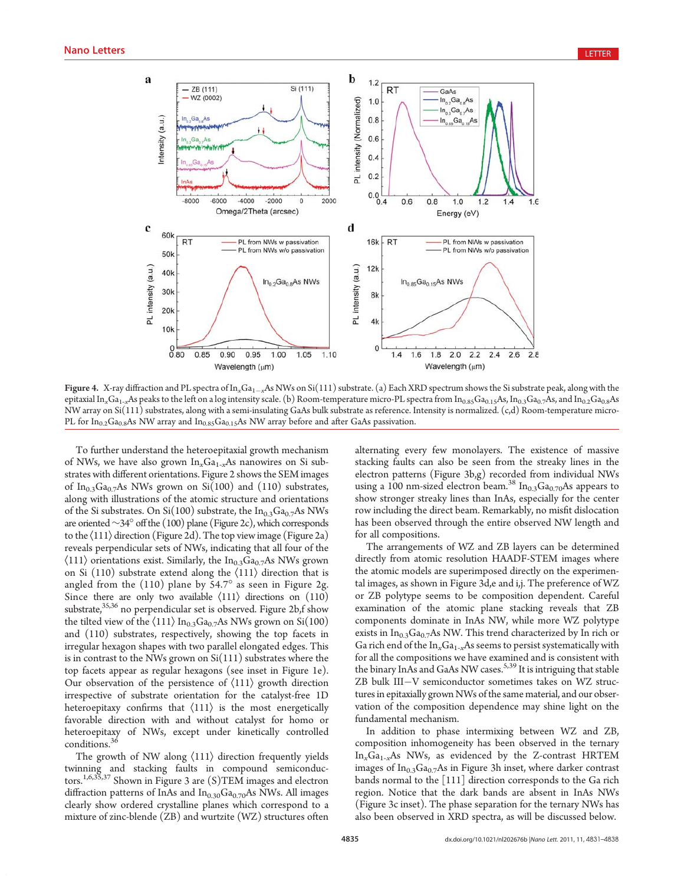

Figure 4. X-ray diffraction and PL spectra of  $\ln_xGa_{1-x}As$  NWs on Si(111) substrate. (a) Each XRD spectrum shows the Si substrate peak, along with the epitaxial In<sub>x</sub>Ga<sub>1-x</sub>As peaks to the left on a log intensity scale. (b) Room-temperature micro-PL spectra from In<sub>0.85</sub>Ga<sub>0.15</sub>As, In<sub>0.3</sub>Ga<sub>0.7</sub>As, and In<sub>0.2</sub>Ga<sub>0.8</sub>As NW array on Si(111) substrates, along with a semi-insulating GaAs bulk substrate as reference. Intensity is normalized. (c,d) Room-temperature micro-PL for  $In_{0.2}Ga_{0.8}As$  NW array and  $In_{0.85}Ga_{0.15}As$  NW array before and after GaAs passivation.

To further understand the heteroepitaxial growth mechanism of NWs, we have also grown  $In_xGa_{1-x}As$  nanowires on Si substrates with different orientations. Figure 2 shows the SEM images of In<sub>0.3</sub>Ga<sub>0.7</sub>As NWs grown on Si(100) and (110) substrates, along with illustrations of the atomic structure and orientations of the Si substrates. On Si(100) substrate, the  $In<sub>0.3</sub>Ga<sub>0.7</sub>As NWs$ are oriented∼34° off the (100) plane (Figure 2c), which corresponds to the  $\langle 111 \rangle$  direction (Figure 2d). The top view image (Figure 2a) reveals perpendicular sets of NWs, indicating that all four of the  $\langle 111 \rangle$  orientations exist. Similarly, the In<sub>0.3</sub>Ga<sub>0.7</sub>As NWs grown on Si (110) substrate extend along the  $\langle 111 \rangle$  direction that is angled from the  $(110)$  plane by 54.7 $^{\circ}$  as seen in Figure 2g. Since there are only two available  $\langle 111 \rangle$  directions on  $(110)$ substrate, $35,36$  no perpendicular set is observed. Figure 2b,f show the tilted view of the  $\langle 111 \rangle$  In<sub>0.3</sub>Ga<sub>0.7</sub>As NWs grown on Si(100) and (110) substrates, respectively, showing the top facets in irregular hexagon shapes with two parallel elongated edges. This is in contrast to the NWs grown on Si(111) substrates where the top facets appear as regular hexagons (see inset in Figure 1e). Our observation of the persistence of  $\langle 111 \rangle$  growth direction irrespective of substrate orientation for the catalyst-free 1D heteroepitaxy confirms that  $\langle 111 \rangle$  is the most energetically favorable direction with and without catalyst for homo or heteroepitaxy of NWs, except under kinetically controlled conditions.<sup>3</sup>

The growth of NW along  $\langle 111 \rangle$  direction frequently yields twinning and stacking faults in compound semiconductors.1,6,35,37 Shown in Figure 3 are (S)TEM images and electron diffraction patterns of InAs and  $In<sub>0.30</sub>Ga<sub>0.70</sub>As NWs. All images$ clearly show ordered crystalline planes which correspond to a mixture of zinc-blende (ZB) and wurtzite (WZ) structures often

alternating every few monolayers. The existence of massive stacking faults can also be seen from the streaky lines in the electron patterns (Figure 3b,g) recorded from individual NWs using a 100 nm-sized electron beam.<sup>38</sup> In<sub>0.3</sub>Ga<sub>0.70</sub>As appears to show stronger streaky lines than InAs, especially for the center row including the direct beam. Remarkably, no misfit dislocation has been observed through the entire observed NW length and for all compositions.

The arrangements of WZ and ZB layers can be determined directly from atomic resolution HAADF-STEM images where the atomic models are superimposed directly on the experimental images, as shown in Figure 3d,e and i,j. The preference of WZ or ZB polytype seems to be composition dependent. Careful examination of the atomic plane stacking reveals that ZB components dominate in InAs NW, while more WZ polytype exists in  $In<sub>0.3</sub>Ga<sub>0.7</sub>As NW. This trend characterized by In rich or$ Ga rich end of the  $In_xGa_{1-x}As$  seems to persist systematically with for all the compositions we have examined and is consistent with the binary InAs and GaAs NW cases.<sup>5,39</sup> It is intriguing that stable ZB bulk III-V semiconductor sometimes takes on WZ structures in epitaxially grown NWs ofthe same material, and our observation of the composition dependence may shine light on the fundamental mechanism.

In addition to phase intermixing between WZ and ZB, composition inhomogeneity has been observed in the ternary  $In<sub>x</sub>Ga<sub>1-x</sub>As NWs, as evidenced by the Z-contrast HRTEM$ images of  $In<sub>0.3</sub>Ga<sub>0.7</sub>As$  in Figure 3h inset, where darker contrast bands normal to the [111] direction corresponds to the Ga rich region. Notice that the dark bands are absent in InAs NWs (Figure 3c inset). The phase separation for the ternary NWs has also been observed in XRD spectra, as will be discussed below.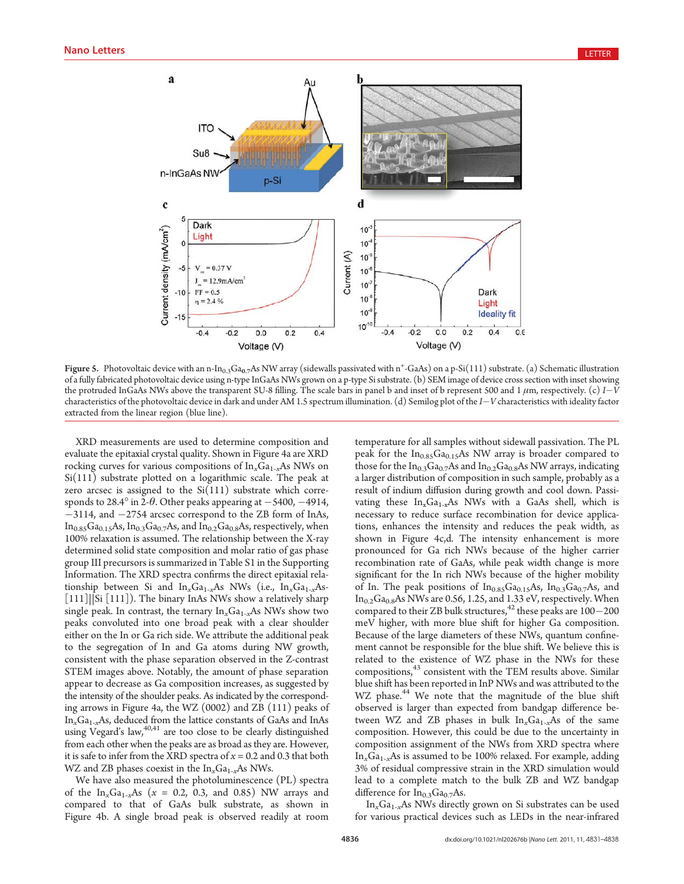

Figure 5. Photovoltaic device with an n-In<sub>0.3</sub>Ga<sub>0.7</sub>As NW array (sidewalls passivated with n<sup>+</sup>-GaAs) on a p-Si(111) substrate. (a) Schematic illustration of a fully fabricated photovoltaic device using n-type InGaAs NWs grown on a p-type Si substrate. (b) SEM image of device cross section with inset showing the protruded InGaAs NWs above the transparent SU-8 filling. The scale bars in panel b and inset of b represent 500 and 1  $\mu$ m, respectively. (c)  $I-V$ characteristics of the photovoltaic device in dark and under AM 1.5 spectrum illumination. (d) Semilog plot of the I-V characteristics with ideality factor extracted from the linear region (blue line).

XRD measurements are used to determine composition and evaluate the epitaxial crystal quality. Shown in Figure 4a are XRD rocking curves for various compositions of  $In_xGa_{1-x}As$  NWs on Si(111) substrate plotted on a logarithmic scale. The peak at zero arcsec is assigned to the  $Si(111)$  substrate which corresponds to 28.4° in 2- $\theta$ . Other peaks appearing at  $-5400, -4914,$ -3114, and -2754 arcsec correspond to the ZB form of InAs,  $In<sub>0.85</sub>Ga<sub>0.15</sub>As, In<sub>0.3</sub>Ga<sub>0.7</sub>As, and In<sub>0.2</sub>Ga<sub>0.8</sub>As, respectively, when$ 100% relaxation is assumed. The relationship between the X-ray determined solid state composition and molar ratio of gas phase group III precursors is summarized in Table S1 in the Supporting Information. The XRD spectra confirms the direct epitaxial relationship between Si and  $In_xGa_{1-x}As$  NWs (i.e.,  $In_xGa_{1-x}As$ -[111]||Si [111]). The binary InAs NWs show a relatively sharp single peak. In contrast, the ternary  $\mathrm{In}_x\mathrm{Ga}_{1-x}\mathrm{As}$  NWs show two peaks convoluted into one broad peak with a clear shoulder either on the In or Ga rich side. We attribute the additional peak to the segregation of In and Ga atoms during NW growth, consistent with the phase separation observed in the Z-contrast STEM images above. Notably, the amount of phase separation appear to decrease as Ga composition increases, as suggested by the intensity of the shoulder peaks. As indicated by the corresponding arrows in Figure 4a, the WZ (0002) and ZB (111) peaks of  $In<sub>x</sub>Ga<sub>1-x</sub>As, deduced from the lattice constants of GaAs and InAs$ using Vegard's law,  $40,41$  are too close to be clearly distinguished from each other when the peaks are as broad as they are. However, it is safe to infer from the XRD spectra of  $x = 0.2$  and 0.3 that both WZ and ZB phases coexist in the  $In_xGa_{1-x}As$  NWs.

We have also measured the photoluminescence (PL) spectra of the  $In_xGa_{1-x}As$  ( $x = 0.2, 0.3,$  and 0.85) NW arrays and compared to that of GaAs bulk substrate, as shown in Figure 4b. A single broad peak is observed readily at room temperature for all samples without sidewall passivation. The PL peak for the  $In<sub>0.85</sub>Ga<sub>0.15</sub>As NW array is broader compared to$ those for the  $In_{0.3}Ga_{0.7}As$  and  $In_{0.2}Ga_{0.8}As$  NW arrays, indicating a larger distribution of composition in such sample, probably as a result of indium diffusion during growth and cool down. Passivating these  $In_xGa_{1-x}As$  NWs with a GaAs shell, which is necessary to reduce surface recombination for device applications, enhances the intensity and reduces the peak width, as shown in Figure 4c,d. The intensity enhancement is more pronounced for Ga rich NWs because of the higher carrier recombination rate of GaAs, while peak width change is more significant for the In rich NWs because of the higher mobility of In. The peak positions of  $In<sub>0.85</sub>Ga<sub>0.15</sub>As, In<sub>0.3</sub>Ga<sub>0.7</sub>As, and$  $In<sub>0.2</sub>Ga<sub>0.8</sub>As NWs are 0.56, 1.25, and 1.33 eV, respectively. When$ compared to their ZB bulk structures,  $42$  these peaks are  $100-200$ meV higher, with more blue shift for higher Ga composition. Because of the large diameters of these NWs, quantum confinement cannot be responsible for the blue shift. We believe this is related to the existence of WZ phase in the NWs for these compositions,<sup>43</sup> consistent with the TEM results above. Similar blue shift has been reported in InP NWs and was attributed to the WZ phase.<sup>44</sup> We note that the magnitude of the blue shift observed is larger than expected from bandgap difference between WZ and ZB phases in bulk  $In<sub>x</sub>Ga<sub>1-x</sub>As$  of the same composition. However, this could be due to the uncertainty in composition assignment of the NWs from XRD spectra where  $In<sub>x</sub>Ga<sub>1-x</sub>As$  is assumed to be 100% relaxed. For example, adding 3% of residual compressive strain in the XRD simulation would lead to a complete match to the bulk ZB and WZ bandgap difference for  $In<sub>0.3</sub>Ga<sub>0.7</sub>As.$ 

 $In<sub>x</sub>Ga<sub>1-x</sub>As NWs directly grown on Si substrates can be used$ for various practical devices such as LEDs in the near-infrared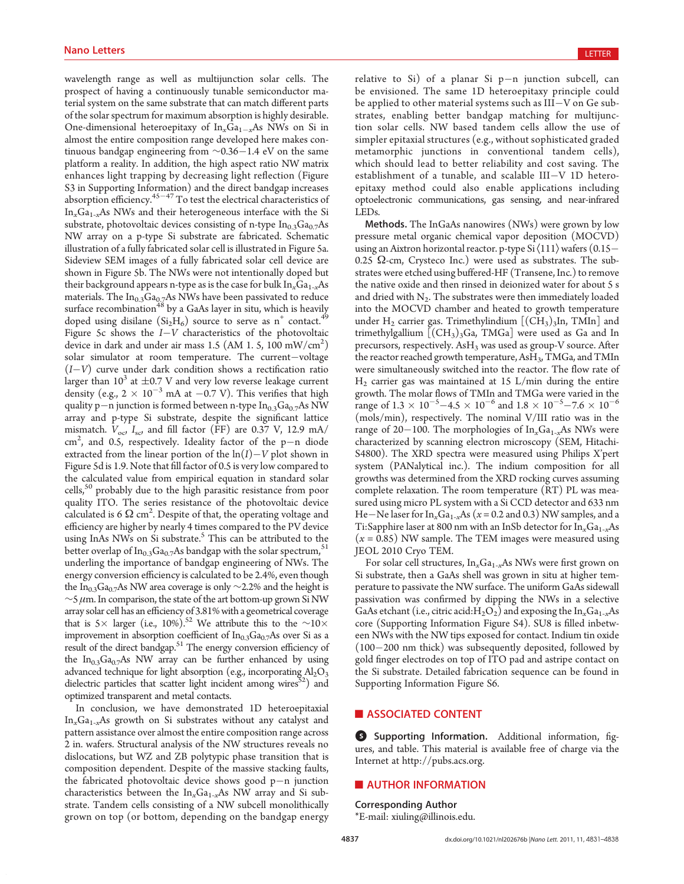wavelength range as well as multijunction solar cells. The prospect of having a continuously tunable semiconductor material system on the same substrate that can match different parts of the solar spectrum for maximum absorption is highly desirable. One-dimensional heteroepitaxy of  $\text{In}_{x}\text{Ga}_{1-x}\text{As}$  NWs on Si in almost the entire composition range developed here makes continuous bandgap engineering from ∼0.36-1.4 eV on the same platform a reality. In addition, the high aspect ratio NW matrix enhances light trapping by decreasing light reflection (Figure S3 in Supporting Information) and the direct bandgap increases absorption efficiency.<sup>45-47</sup> To test the electrical characteristics of  $\mathrm{In}_x\mathrm{Ga}_{1-x}\mathrm{As}$  NWs and their heterogeneous interface with the Si substrate, photovoltaic devices consisting of n-type  $In<sub>0.3</sub>Ga<sub>0.7</sub>As$ NW array on a p-type Si substrate are fabricated. Schematic illustration of a fully fabricated solar cell is illustrated in Figure 5a. Sideview SEM images of a fully fabricated solar cell device are shown in Figure 5b. The NWs were not intentionally doped but their background appears n-type as is the case for bulk  $In_xGa_{1-x}As$ materials. The  $In<sub>0.3</sub>Ga<sub>0.7</sub>As NWs$  have been passivated to reduce surface recombination<sup>48</sup> by a GaAs layer in situ, which is heavily doped using disilane  $(Si<sub>2</sub>H<sub>6</sub>)$  source to serve as n<sup>+</sup> contact.<sup>49</sup> Figure 5c shows the  $I-V$  characteristics of the photovoltaic device in dark and under air mass 1.5 (AM 1. 5,  $100 \text{ mW/cm}^2$ ) solar simulator at room temperature. The current-voltage (I-V) curve under dark condition shows a rectification ratio larger than  $10^3$  at  $\pm 0.7$  V and very low reverse leakage current density (e.g.,  $2 \times 10^{-3}$  mA at  $-0.7$  V). This verifies that high quality p—n junction is formed between n-type  $In_{0.3}Ga_{0.7}As$  NW array and p-type Si substrate, despite the significant lattice mismatch.  $V_{\text{oc}}$ ,  $I_{\text{sc}}$ , and fill factor (FF) are 0.37 V, 12.9 mA/ cm<sup>2</sup>, and 0.5, respectively. Ideality factor of the p-n diode extracted from the linear portion of the  $\ln(I) - V$  plot shown in Figure 5d is 1.9. Note that fill factor of 0.5 is very low compared to the calculated value from empirical equation in standard solar cells,<sup>50</sup> probably due to the high parasitic resistance from poor quality ITO. The series resistance of the photovoltaic device calculated is 6  $\Omega$  cm<sup>2</sup>. Despite of that, the operating voltage and efficiency are higher by nearly 4 times compared to the PV device using InAs NWs on Si substrate.<sup>5</sup> This can be attributed to the better overlap of  $In_{0.3}Ga_{0.7}As$  bandgap with the solar spectrum,  $51$ underling the importance of bandgap engineering of NWs. The energy conversion efficiency is calculated to be 2.4%, even though the In<sub>0.3</sub>Ga<sub>0.7</sub>As NW area coverage is only ∼2.2% and the height is  $\sim$ 5  $\mu$ m. In comparison, the state of the art bottom-up grown Si NW array solar cell has an efficiency of 3.81% with a geometrical coverage that is 5 × larger (i.e., 10%).<sup>52</sup> We attribute this to the  $∼10×$ improvement in absorption coefficient of  $In<sub>0.3</sub>Ga<sub>0.7</sub>As$  over Si as a result of the direct bandgap.51 The energy conversion efficiency of the  $In<sub>0.3</sub>Ga<sub>0.7</sub>As NW array can be further enhanced by using$ advanced technique for light absorption (e.g., incorporating  $Al_2O_3$ ) dielectric particles that scatter light incident among wires $52$ ) and optimized transparent and metal contacts.

In conclusion, we have demonstrated 1D heteroepitaxial  $In<sub>x</sub>Ga<sub>1-x</sub>As$  growth on Si substrates without any catalyst and pattern assistance over almost the entire composition range across 2 in. wafers. Structural analysis of the NW structures reveals no dislocations, but WZ and ZB polytypic phase transition that is composition dependent. Despite of the massive stacking faults, the fabricated photovoltaic device shows good p-n junction characteristics between the  $In_xGa_{1-x}As$  NW array and Si substrate. Tandem cells consisting of a NW subcell monolithically grown on top (or bottom, depending on the bandgap energy

 $r$ elative to Si) of a planar Si  $p-n$  junction subcell, can be envisioned. The same 1D heteroepitaxy principle could be applied to other material systems such as III-V on Ge substrates, enabling better bandgap matching for multijunction solar cells. NW based tandem cells allow the use of simpler epitaxial structures (e.g., without sophisticated graded metamorphic junctions in conventional tandem cells), which should lead to better reliability and cost saving. The establishment of a tunable, and scalable III-V 1D heteroepitaxy method could also enable applications including optoelectronic communications, gas sensing, and near-infrared LEDs.

Methods. The InGaAs nanowires (NWs) were grown by low pressure metal organic chemical vapor deposition (MOCVD) using an Aixtron horizontal reactor. p-type Si $\langle 111 \rangle$  wafers  $(0.15-$ 0.25  $\Omega$ -cm, Crysteco Inc.) were used as substrates. The substrates were etched using buffered-HF (Transene, Inc.) to remove the native oxide and then rinsed in deionized water for about 5 s and dried with  $N_2$ . The substrates were then immediately loaded into the MOCVD chamber and heated to growth temperature under H<sub>2</sub> carrier gas. Trimethylindium  $[(CH<sub>3</sub>)<sub>3</sub>ln, TMln]$  and trimethylgallium  $[(CH<sub>3</sub>)<sub>3</sub>Ga, TMGa]$  were used as Ga and In precursors, respectively. AsH<sub>3</sub> was used as group-V source. After the reactor reached growth temperature,  $\text{AsH}_3$ , TMGa, and TMIn were simultaneously switched into the reactor. The flow rate of  $H_2$  carrier gas was maintained at 15 L/min during the entire growth. The molar flows of TMIn and TMGa were varied in the range of  $1.3 \times 10^{-5} - 4.5 \times 10^{-6}$  and  $1.8 \times 10^{-5} - 7.6 \times 10^{-6}$ (mols/min), respectively. The nominal V/III ratio was in the range of 20–100. The morphologies of  $In_xGa_{1-x}As$  NWs were characterized by scanning electron microscopy (SEM, Hitachi-S4800). The XRD spectra were measured using Philips X'pert system (PANalytical inc.). The indium composition for all growths was determined from the XRD rocking curves assuming complete relaxation. The room temperature (RT) PL was measured using micro PL system with a Si CCD detector and 633 nm He – Ne laser for  $\ln_x\text{Ga}_{1-x}\text{As}$   $(x = 0.2 \text{ and } 0.3)$  NW samples, and a Ti:Sapphire laser at 800 nm with an InSb detector for  $In_xGa_{1-x}As$  $(x = 0.85)$  NW sample. The TEM images were measured using JEOL 2010 Cryo TEM.

For solar cell structures,  $In_xGa_{1-x}As$  NWs were first grown on Si substrate, then a GaAs shell was grown in situ at higher temperature to passivate the NW surface. The uniform GaAs sidewall passivation was confirmed by dipping the NWs in a selective GaAs etchant (i.e., citric acid: $H_2O_2$ ) and exposing the In<sub>x</sub>Ga<sub>1-x</sub>As core (Supporting Information Figure S4). SU8 is filled inbetween NWs with the NW tips exposed for contact. Indium tin oxide (100-200 nm thick) was subsequently deposited, followed by gold finger electrodes on top of ITO pad and astripe contact on the Si substrate. Detailed fabrication sequence can be found in Supporting Information Figure S6.

## **ASSOCIATED CONTENT**

**5** Supporting Information. Additional information, figures, and table. This material is available free of charge via the Internet at http://pubs.acs.org.

#### **E** AUTHOR INFORMATION

#### Corresponding Author

\*E-mail: xiuling@illinois.edu.